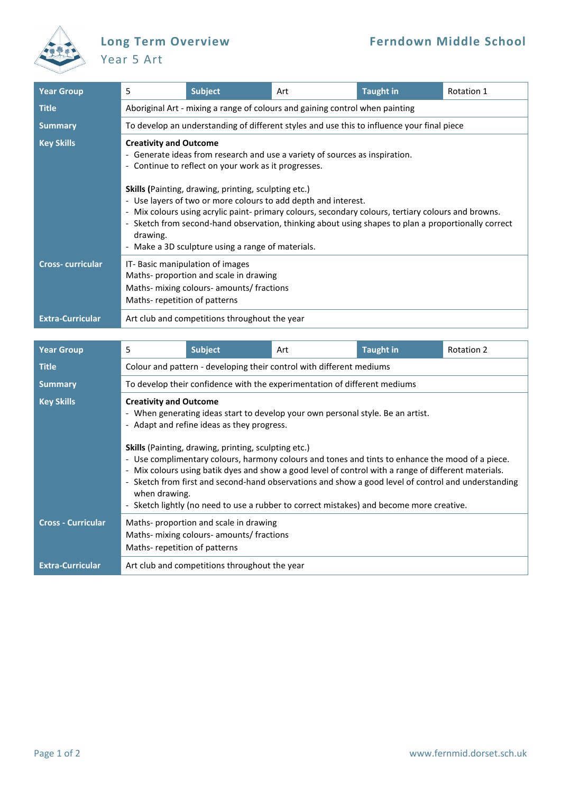

## Year 5 Art

| <b>Year Group</b>       | 5                                                                                                                                                                                                                                                                                                                                                                                                                                                                                                                                                                             | <b>Subject</b> | Art | <b>Taught in</b> | Rotation 1 |  |  |  |
|-------------------------|-------------------------------------------------------------------------------------------------------------------------------------------------------------------------------------------------------------------------------------------------------------------------------------------------------------------------------------------------------------------------------------------------------------------------------------------------------------------------------------------------------------------------------------------------------------------------------|----------------|-----|------------------|------------|--|--|--|
| <b>Title</b>            | Aboriginal Art - mixing a range of colours and gaining control when painting                                                                                                                                                                                                                                                                                                                                                                                                                                                                                                  |                |     |                  |            |  |  |  |
| <b>Summary</b>          | To develop an understanding of different styles and use this to influence your final piece                                                                                                                                                                                                                                                                                                                                                                                                                                                                                    |                |     |                  |            |  |  |  |
| <b>Key Skills</b>       | <b>Creativity and Outcome</b><br>- Generate ideas from research and use a variety of sources as inspiration.<br>- Continue to reflect on your work as it progresses.<br>Skills (Painting, drawing, printing, sculpting etc.)<br>- Use layers of two or more colours to add depth and interest.<br>- Mix colours using acrylic paint- primary colours, secondary colours, tertiary colours and browns.<br>- Sketch from second-hand observation, thinking about using shapes to plan a proportionally correct<br>drawing.<br>- Make a 3D sculpture using a range of materials. |                |     |                  |            |  |  |  |
| <b>Cross-curricular</b> | IT-Basic manipulation of images<br>Maths-proportion and scale in drawing<br>Maths- mixing colours- amounts/ fractions<br>Maths-repetition of patterns                                                                                                                                                                                                                                                                                                                                                                                                                         |                |     |                  |            |  |  |  |
| <b>Extra-Curricular</b> | Art club and competitions throughout the year                                                                                                                                                                                                                                                                                                                                                                                                                                                                                                                                 |                |     |                  |            |  |  |  |

| <b>Year Group</b>         | 5                                                                                                                                                                                                                                                                                                                                                                                                                                                                                                                                                                                                                                                             | <b>Subject</b> | Art | <b>Taught in</b> | Rotation 2 |  |  |  |
|---------------------------|---------------------------------------------------------------------------------------------------------------------------------------------------------------------------------------------------------------------------------------------------------------------------------------------------------------------------------------------------------------------------------------------------------------------------------------------------------------------------------------------------------------------------------------------------------------------------------------------------------------------------------------------------------------|----------------|-----|------------------|------------|--|--|--|
| <b>Title</b>              | Colour and pattern - developing their control with different mediums                                                                                                                                                                                                                                                                                                                                                                                                                                                                                                                                                                                          |                |     |                  |            |  |  |  |
| <b>Summary</b>            | To develop their confidence with the experimentation of different mediums                                                                                                                                                                                                                                                                                                                                                                                                                                                                                                                                                                                     |                |     |                  |            |  |  |  |
| <b>Key Skills</b>         | <b>Creativity and Outcome</b><br>- When generating ideas start to develop your own personal style. Be an artist.<br>- Adapt and refine ideas as they progress.<br><b>Skills</b> (Painting, drawing, printing, sculpting etc.)<br>- Use complimentary colours, harmony colours and tones and tints to enhance the mood of a piece.<br>- Mix colours using batik dyes and show a good level of control with a range of different materials.<br>- Sketch from first and second-hand observations and show a good level of control and understanding<br>when drawing.<br>- Sketch lightly (no need to use a rubber to correct mistakes) and become more creative. |                |     |                  |            |  |  |  |
| <b>Cross - Curricular</b> | Maths- proportion and scale in drawing<br>Maths- mixing colours- amounts/ fractions<br>Maths-repetition of patterns                                                                                                                                                                                                                                                                                                                                                                                                                                                                                                                                           |                |     |                  |            |  |  |  |
| <b>Extra-Curricular</b>   | Art club and competitions throughout the year                                                                                                                                                                                                                                                                                                                                                                                                                                                                                                                                                                                                                 |                |     |                  |            |  |  |  |